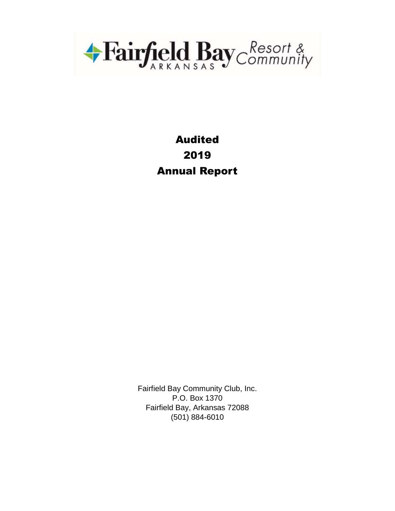

# Audited 2019 Annual Report

Fairfield Bay Community Club, Inc. P.O. Box 1370 Fairfield Bay, Arkansas 72088 (501) 884-6010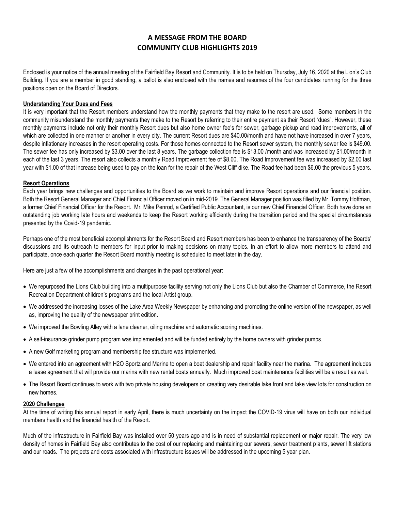### **A MESSAGE FROM THE BOARD COMMUNITY CLUB HIGHLIGHTS 2019**

Enclosed is your notice of the annual meeting of the Fairfield Bay Resort and Community. It is to be held on Thursday, July 16, 2020 at the Lion's Club Building. If you are a member in good standing, a ballot is also enclosed with the names and resumes of the four candidates running for the three positions open on the Board of Directors.

#### **Understanding Your Dues and Fees**

It is very important that the Resort members understand how the monthly payments that they make to the resort are used. Some members in the community misunderstand the monthly payments they make to the Resort by referring to their entire payment as their Resort "dues". However, these monthly payments include not only their monthly Resort dues but also home owner fee's for sewer, garbage pickup and road improvements, all of which are collected in one manner or another in every city. The current Resort dues are \$40.00/month and have not have increased in over 7 years, despite inflationary increases in the resort operating costs. For those homes connected to the Resort sewer system, the monthly sewer fee is \$49.00. The sewer fee has only increased by \$3.00 over the last 8 years. The garbage collection fee is \$13.00 /month and was increased by \$1.00/month in each of the last 3 years. The resort also collects a monthly Road Improvement fee of \$8.00. The Road Improvement fee was increased by \$2.00 last year with \$1.00 of that increase being used to pay on the loan for the repair of the West Cliff dike. The Road fee had been \$6.00 the previous 5 years.

#### **Resort Operations**

Each year brings new challenges and opportunities to the Board as we work to maintain and improve Resort operations and our financial position. Both the Resort General Manager and Chief Financial Officer moved on in mid-2019. The General Manager position was filled by Mr. Tommy Hoffman, a former Chief Financial Officer for the Resort. Mr. Mike Penrod, a Certified Public Accountant, is our new Chief Financial Officer. Both have done an outstanding job working late hours and weekends to keep the Resort working efficiently during the transition period and the special circumstances presented by the Covid-19 pandemic.

Perhaps one of the most beneficial accomplishments for the Resort Board and Resort members has been to enhance the transparency of the Boards' discussions and its outreach to members for input prior to making decisions on many topics. In an effort to allow more members to attend and participate, once each quarter the Resort Board monthly meeting is scheduled to meet later in the day.

Here are just a few of the accomplishments and changes in the past operational year:

- We repurposed the Lions Club building into a multipurpose facility serving not only the Lions Club but also the Chamber of Commerce, the Resort Recreation Department children's programs and the local Artist group.
- We addressed the increasing losses of the Lake Area Weekly Newspaper by enhancing and promoting the online version of the newspaper, as well as, improving the quality of the newspaper print edition.
- We improved the Bowling Alley with a lane cleaner, oiling machine and automatic scoring machines.
- A self-insurance grinder pump program was implemented and will be funded entirely by the home owners with grinder pumps.
- A new Golf marketing program and membership fee structure was implemented.
- We entered into an agreement with H2O Sportz and Marine to open a boat dealership and repair facility near the marina. The agreement includes a lease agreement that will provide our marina with new rental boats annually. Much improved boat maintenance facilities will be a result as well.
- The Resort Board continues to work with two private housing developers on creating very desirable lake front and lake view lots for construction on new homes.

#### **2020 Challenges**

At the time of writing this annual report in early April, there is much uncertainty on the impact the COVID-19 virus will have on both our individual members health and the financial health of the Resort.

Much of the infrastructure in Fairfield Bay was installed over 50 years ago and is in need of substantial replacement or major repair. The very low density of homes in Fairfield Bay also contributes to the cost of our replacing and maintaining our sewers, sewer treatment plants, sewer lift stations and our roads. The projects and costs associated with infrastructure issues will be addressed in the upcoming 5 year plan.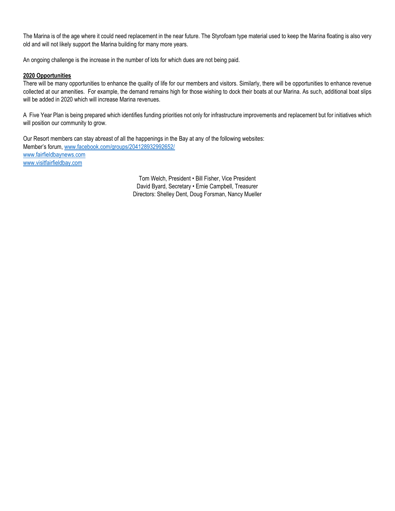The Marina is of the age where it could need replacement in the near future. The Styrofoam type material used to keep the Marina floating is also very old and will not likely support the Marina building for many more years.

An ongoing challenge is the increase in the number of lots for which dues are not being paid.

#### **2020 Opportunities**

There will be many opportunities to enhance the quality of life for our members and visitors. Similarly, there will be opportunities to enhance revenue collected at our amenities. For example, the demand remains high for those wishing to dock their boats at our Marina. As such, additional boat slips will be added in 2020 which will increase Marina revenues.

A Five Year Plan is being prepared which identifies funding priorities not only for infrastructure improvements and replacement but for initiatives which will position our community to grow.

Our Resort members can stay abreast of all the happenings in the Bay at any of the following websites: Member's forum, [www.facebook.com/groups/204128932992652/](file://///10.0.1.13/Shared/Accounting/ANNUAL%20REPORT/2019%202018/www.facebook.com/groups/204128932992652/) [www.fairfieldbaynews.com](http://www.fairfieldbaynews.com/) [www.visitfairfieldbay.com](http://www.visitfairfieldbay.com/) 

> Tom Welch, President • Bill Fisher, Vice President David Byard, Secretary • Ernie Campbell, Treasurer Directors: Shelley Dent, Doug Forsman, Nancy Mueller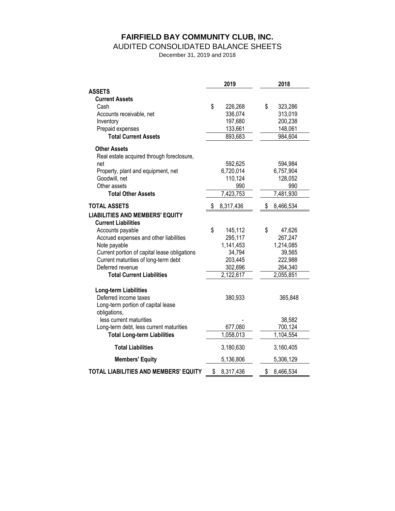# **FAIRFIELD BAY COMMUNITY CLUB, INC.**

#### AUDITED CONSOLIDATED BALANCE SHEETS

December 31, 2019 and 2018

|                                              | 2019            | 2018            |
|----------------------------------------------|-----------------|-----------------|
| <b>ASSETS</b>                                |                 |                 |
| <b>Current Assets</b>                        |                 |                 |
| Cash                                         | \$<br>226,268   | \$<br>323,286   |
| Accounts receivable, net                     | 336,074         | 313,019         |
| Inventory                                    | 197,680         | 200,238         |
| Prepaid expenses                             | 133,661         | 148,061         |
| <b>Total Current Assets</b>                  | 893,683         | 984,604         |
| <b>Other Assets</b>                          |                 |                 |
| Real estate acquired through foreclosure,    |                 |                 |
| net                                          | 592,625         | 594,984         |
| Property, plant and equipment, net           | 6,720,014       | 6,757,904       |
| Goodwill, net                                | 110,124         | 128,052         |
| Other assets                                 | 990             | 990             |
| <b>Total Other Assets</b>                    | 7,423,753       | 7,481,930       |
| <b>TOTAL ASSETS</b>                          | \$<br>8,317,436 | \$<br>8,466,534 |
| <b>LIABILITIES AND MEMBERS' EQUITY</b>       |                 |                 |
| <b>Current Liabilities</b>                   |                 |                 |
| Accounts payable                             | \$<br>145,112   | \$<br>47,626    |
| Accrued expenses and other liabilities       | 295,117         | 267,247         |
| Note payable                                 | 1,141,453       | 1,214,085       |
| Current portion of capital lease obligations | 34,794          | 39,565          |
| Current maturities of long-term debt         | 203,445         | 222,988         |
| Deferred revenue                             | 302,696         | 264,340         |
| <b>Total Current Liabilities</b>             | 2,122,617       | 2,055,851       |
| Long-term Liabilities                        |                 |                 |
| Deferred income taxes                        | 380,933         | 365,848         |
| Long-term portion of capital lease           |                 |                 |
| obligations,                                 |                 |                 |
| less current maturities                      |                 | 38,582          |
| Long-term debt, less current maturities      | 677,080         | 700,124         |
| <b>Total Long-term Liabilities</b>           | 1,058,013       | 1,104,554       |
| <b>Total Liabilities</b>                     | 3,180,630       | 3,160,405       |
| <b>Members' Equity</b>                       | 5,136,806       | 5,306,129       |
| <b>TOTAL LIABILITIES AND MEMBERS' EQUITY</b> | \$<br>8,317,436 | \$<br>8,466,534 |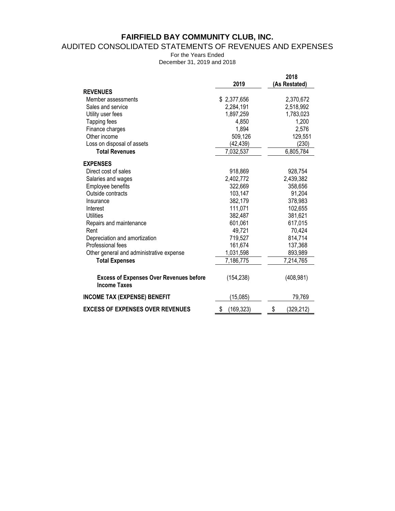# **FAIRFIELD BAY COMMUNITY CLUB, INC.**

### AUDITED CONSOLIDATED STATEMENTS OF REVENUES AND EXPENSES

For the Years Ended December 31, 2019 and 2018

|                                                                       | 2019             | 2018<br>(As Restated) |
|-----------------------------------------------------------------------|------------------|-----------------------|
| <b>REVENUES</b>                                                       |                  |                       |
| Member assessments                                                    | \$2,377,656      | 2,370,672             |
| Sales and service                                                     | 2,284,191        | 2,518,992             |
| Utility user fees                                                     | 1,897,259        | 1,783,023             |
| Tapping fees                                                          | 4,850            | 1,200                 |
| Finance charges                                                       | 1,894            | 2,576                 |
| Other income                                                          | 509,126          | 129,551               |
| Loss on disposal of assets                                            | (42,439)         | (230)                 |
| <b>Total Revenues</b>                                                 | 7,032,537        | 6,805,784             |
| <b>EXPENSES</b>                                                       |                  |                       |
| Direct cost of sales                                                  | 918,869          | 928,754               |
| Salaries and wages                                                    | 2,402,772        | 2,439,382             |
| Employee benefits                                                     | 322,669          | 358,656               |
| Outside contracts                                                     | 103,147          | 91,204                |
| Insurance                                                             | 382,179          | 378,983               |
| Interest                                                              | 111,071          | 102,655               |
| Utilities                                                             | 382,487          | 381,621               |
| Repairs and maintenance                                               | 601,061          | 617,015               |
| Rent                                                                  | 49,721           | 70,424                |
| Depreciation and amortization                                         | 719,527          | 814,714               |
| Professional fees                                                     | 161,674          | 137,368               |
| Other general and administrative expense                              | 1,031,598        | 893,989               |
| <b>Total Expenses</b>                                                 | 7,186,775        | 7,214,765             |
| <b>Excess of Expenses Over Revenues before</b><br><b>Income Taxes</b> | (154, 238)       | (408, 981)            |
| <b>INCOME TAX (EXPENSE) BENEFIT</b>                                   | (15,085)         | 79,769                |
| <b>EXCESS OF EXPENSES OVER REVENUES</b>                               | \$<br>(169, 323) | \$<br>(329, 212)      |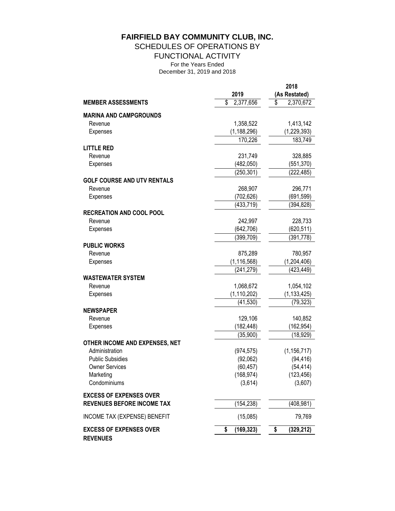# **FAIRFIELD BAY COMMUNITY CLUB, INC.**

SCHEDULES OF OPERATIONS BY

FUNCTIONAL ACTIVITY

For the Years Ended

December 31, 2019 and 2018

|                                                   |                        | 2018                 |
|---------------------------------------------------|------------------------|----------------------|
|                                                   | 2019                   | (As Restated)        |
| <b>MEMBER ASSESSMENTS</b>                         | \$<br>2,377,656        | \$<br>2,370,672      |
| <b>MARINA AND CAMPGROUNDS</b>                     |                        |                      |
| Revenue                                           | 1,358,522              | 1,413,142            |
| Expenses                                          | (1, 188, 296)          | (1, 229, 393)        |
|                                                   | 170,226                | 183,749              |
| <b>LITTLE RED</b>                                 |                        |                      |
| Revenue                                           | 231,749                | 328,885              |
| Expenses                                          | (482, 050)             | (551, 370)           |
|                                                   | (250,301)              | (222,485)            |
| <b>GOLF COURSE AND UTV RENTALS</b>                |                        |                      |
| Revenue                                           | 268,907                | 296,771              |
| Expenses                                          | (702, 626)             | (691, 599)           |
|                                                   | (433, 719)             | (394, 828)           |
| <b>RECREATION AND COOL POOL</b>                   |                        |                      |
| Revenue                                           | 242,997                | 228,733              |
| Expenses                                          | (642, 706)             | (620, 511)           |
|                                                   | $\overline{(399,709)}$ | $\overline{391,778}$ |
| <b>PUBLIC WORKS</b>                               |                        |                      |
| Revenue                                           | 875,289                | 780,957              |
| Expenses                                          | (1, 116, 568)          | (1,204,406)          |
|                                                   | (241, 279)             | (423, 449)           |
| <b>WASTEWATER SYSTEM</b>                          |                        |                      |
| Revenue                                           | 1,068,672              | 1,054,102            |
| Expenses                                          | (1, 110, 202)          | (1, 133, 425)        |
|                                                   | (41, 530)              | (79, 323)            |
| <b>NEWSPAPER</b>                                  |                        |                      |
| Revenue                                           | 129,106                | 140,852              |
| Expenses                                          | (182, 448)             | (162,954)            |
|                                                   | (35,900)               | (18, 929)            |
| OTHER INCOME AND EXPENSES, NET                    |                        |                      |
| Administration                                    | (974, 575)             | (1, 156, 717)        |
| <b>Public Subsidies</b>                           | (92,062)               | (94, 416)            |
| <b>Owner Services</b>                             | (60, 457)              | (54, 414)            |
| Marketing                                         | (168, 974)             | (123, 456)           |
| Condominiums                                      | (3,614)                | (3,607)              |
| <b>EXCESS OF EXPENSES OVER</b>                    |                        |                      |
| <b>REVENUES BEFORE INCOME TAX</b>                 | (154, 238)             | (408, 981)           |
|                                                   |                        |                      |
| INCOME TAX (EXPENSE) BENEFIT                      | (15,085)               | 79,769               |
| <b>EXCESS OF EXPENSES OVER</b><br><b>REVENUES</b> | (169, 323)<br>\$       | (329, 212)<br>\$     |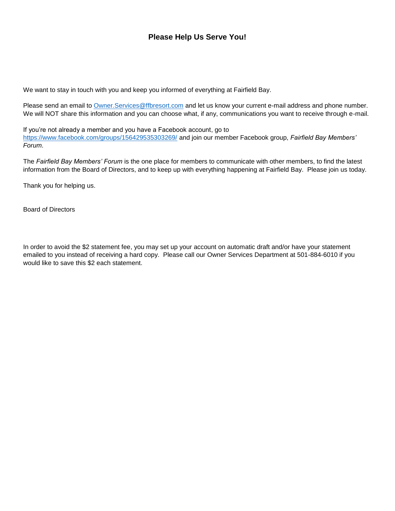### **Please Help Us Serve You!**

We want to stay in touch with you and keep you informed of everything at Fairfield Bay.

Please send an email to [Owner.Services@ffbresort.com](mailto:Owner.Services@ffbresort.com) and let us know your current e-mail address and phone number. We will NOT share this information and you can choose what, if any, communications you want to receive through e-mail.

If you're not already a member and you have a Facebook account, go to <https://www.facebook.com/groups/156429535303269/> and join our member Facebook group, *Fairfield Bay Members' Forum*.

The *Fairfield Bay Members' Forum* is the one place for members to communicate with other members, to find the latest information from the Board of Directors, and to keep up with everything happening at Fairfield Bay. Please join us today.

Thank you for helping us.

Board of Directors

In order to avoid the \$2 statement fee, you may set up your account on automatic draft and/or have your statement emailed to you instead of receiving a hard copy. Please call our Owner Services Department at 501-884-6010 if you would like to save this \$2 each statement.